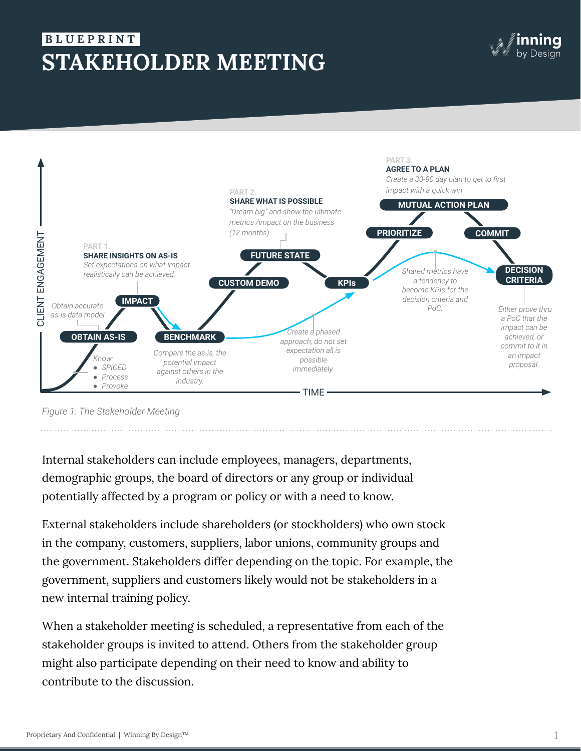# **STAKEHOLDER MEETING B L U E P R I N T .**



*Figure 1: The Stakeholder Meeting*

Internal stakeholders can include employees, managers, departments, demographic groups, the board of directors or any group or individual potentially affected by a program or policy or with a need to know.

External stakeholders include shareholders (or stockholders) who own stock in the company, customers, suppliers, labor unions, community groups and the government. Stakeholders differ depending on the topic. For example, the government, suppliers and customers likely would not be stakeholders in a new internal training policy.

When a stakeholder meeting is scheduled, a representative from each of the stakeholder groups is invited to attend. Others from the stakeholder group might also participate depending on their need to know and ability to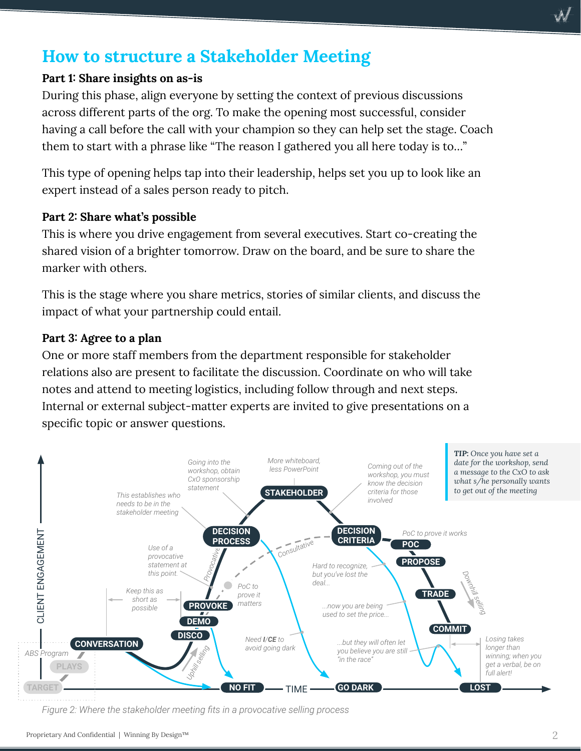## **How to structure a Stakeholder Meeting**

### **Part 1: Share insights on as-is**

During this phase, align everyone by setting the context of previous discussions across different parts of the org. To make the opening most successful, consider having a call before the call with your champion so they can help set the stage. Coach them to start with a phrase like "The reason I gathered you all here today is to…"

This type of opening helps tap into their leadership, helps set you up to look like an expert instead of a sales person ready to pitch.

#### **Part 2: Share what's possible**

This is where you drive engagement from several executives. Start co-creating the shared vision of a brighter tomorrow. Draw on the board, and be sure to share the marker with others.

This is the stage where you share metrics, stories of similar clients, and discuss the impact of what your partnership could entail.

#### **Part 3: Agree to a plan**

One or more staff members from the department responsible for stakeholder relations also are present to facilitate the discussion. Coordinate on who will take notes and attend to meeting logistics, including follow through and next steps. Internal or external subject-matter experts are invited to give presentations on a specific topic or answer questions.



*Figure 2: Where the stakeholder meeting fits in a provocative selling process*